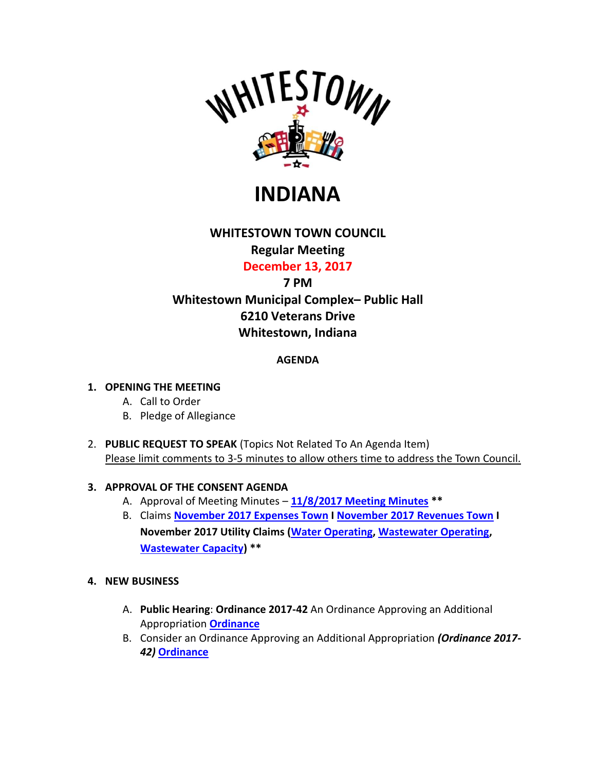

**INDIANA**

## **WHITESTOWN TOWN COUNCIL Regular Meeting**

**December 13, 2017**

# **7 PM Whitestown Municipal Complex– Public Hall 6210 Veterans Drive Whitestown, Indiana**

## **AGENDA**

#### **1. OPENING THE MEETING**

- A. Call to Order
- B. Pledge of Allegiance
- 2. **PUBLIC REQUEST TO SPEAK** (Topics Not Related To An Agenda Item) Please limit comments to 3-5 minutes to allow others time to address the Town Council.

### **3. APPROVAL OF THE CONSENT AGENDA**

- A. Approval of Meeting Minutes **[11/8/2017 Meeting Minutes](http://www.whitestown.in.gov/vertical/sites/%7BB8BE8AC3-9DE8-4247-BCB0-1173F48CC7C3%7D/uploads/Nov_8_2017_Whitestown_Council_Umsigned_Regular_Meeting_Minutes.pdf) \*\***
- B. Claims **November [2017 Expenses Town](http://www.whitestown.in.gov/vertical/sites/%7BB8BE8AC3-9DE8-4247-BCB0-1173F48CC7C3%7D/uploads/November_2017_Expense_Report.pdf) I November [2017 Revenues Town](http://www.whitestown.in.gov/vertical/sites/%7BB8BE8AC3-9DE8-4247-BCB0-1173F48CC7C3%7D/uploads/November_2017_Revenue_Report.pdf) I November 2017 Utility Claims (Water [Operating,](http://www.whitestown.in.gov/vertical/sites/%7BB8BE8AC3-9DE8-4247-BCB0-1173F48CC7C3%7D/uploads/Water_Operating_Claims_Docket_12.13.17.pdf) [Wastewater Operating,](http://www.whitestown.in.gov/vertical/sites/%7BB8BE8AC3-9DE8-4247-BCB0-1173F48CC7C3%7D/uploads/Sewer_Operating_Claims_Docket_12.13.17.pdf) [Wastewater Capacity\)](http://www.whitestown.in.gov/vertical/sites/%7BB8BE8AC3-9DE8-4247-BCB0-1173F48CC7C3%7D/uploads/Sewer_Capacity_Claims_Docket_12.13.17.pdf) \*\***
- **4. NEW BUSINESS**
	- A. **Public Hearing**: **Ordinance 2017-42** An Ordinance Approving an Additional Appropriation **[Ordinance](http://www.whitestown.in.gov/vertical/sites/%7BB8BE8AC3-9DE8-4247-BCB0-1173F48CC7C3%7D/uploads/Whitestown_Ordinance_2017-42__Additional_Appropriation_7.pdf)**
	- B. Consider an Ordinance Approving an Additional Appropriation *(Ordinance 2017- 42)* **[Ordinance](http://www.whitestown.in.gov/vertical/sites/%7BB8BE8AC3-9DE8-4247-BCB0-1173F48CC7C3%7D/uploads/Whitestown_Ordinance_2017-42__Additional_Appropriation_7.pdf)**